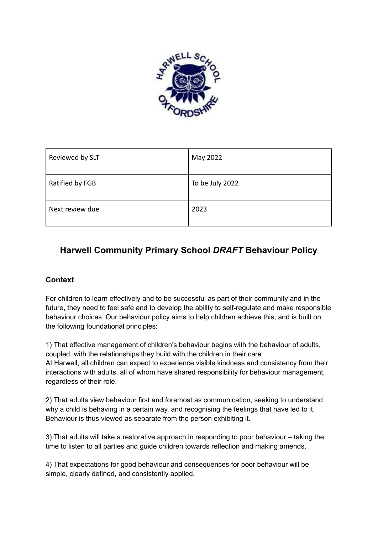

| Reviewed by SLT | May 2022        |
|-----------------|-----------------|
| Ratified by FGB | To be July 2022 |
| Next review due | 2023            |

# **Harwell Community Primary School** *DRAFT* **Behaviour Policy**

## **Context**

For children to learn effectively and to be successful as part of their community and in the future, they need to feel safe and to develop the ability to self-regulate and make responsible behaviour choices. Our behaviour policy aims to help children achieve this, and is built on the following foundational principles:

1) That effective management of children's behaviour begins with the behaviour of adults, coupled with the relationships they build with the children in their care. At Harwell, all children can expect to experience visible kindness and consistency from their interactions with adults, all of whom have shared responsibility for behaviour management, regardless of their role.

2) That adults view behaviour first and foremost as communication, seeking to understand why a child is behaving in a certain way, and recognising the feelings that have led to it. Behaviour is thus viewed as separate from the person exhibiting it.

3) That adults will take a restorative approach in responding to poor behaviour – taking the time to listen to all parties and guide children towards reflection and making amends.

4) That expectations for good behaviour and consequences for poor behaviour will be simple, clearly defined, and consistently applied.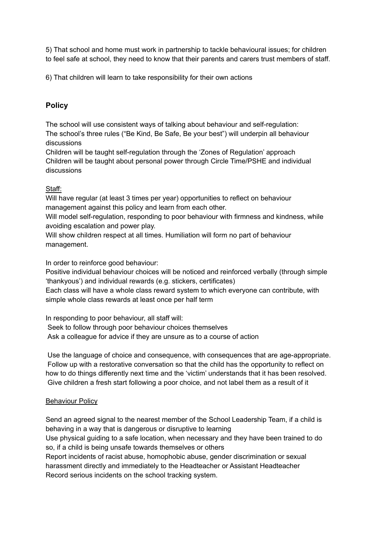5) That school and home must work in partnership to tackle behavioural issues; for children to feel safe at school, they need to know that their parents and carers trust members of staff.

6) That children will learn to take responsibility for their own actions

## **Policy**

The school will use consistent ways of talking about behaviour and self-regulation: The school's three rules ("Be Kind, Be Safe, Be your best") will underpin all behaviour discussions

Children will be taught self-regulation through the 'Zones of Regulation' approach Children will be taught about personal power through Circle Time/PSHE and individual discussions

### Staff:

Will have regular (at least 3 times per year) opportunities to reflect on behaviour management against this policy and learn from each other.

Will model self-regulation, responding to poor behaviour with firmness and kindness, while avoiding escalation and power play.

Will show children respect at all times. Humiliation will form no part of behaviour management.

In order to reinforce good behaviour:

Positive individual behaviour choices will be noticed and reinforced verbally (through simple 'thankyous') and individual rewards (e.g. stickers, certificates) Each class will have a whole class reward system to which everyone can contribute, with

simple whole class rewards at least once per half term

In responding to poor behaviour, all staff will: Seek to follow through poor behaviour choices themselves Ask a colleague for advice if they are unsure as to a course of action

Use the language of choice and consequence, with consequences that are age-appropriate. Follow up with a restorative conversation so that the child has the opportunity to reflect on how to do things differently next time and the 'victim' understands that it has been resolved. Give children a fresh start following a poor choice, and not label them as a result of it

## Behaviour Policy

Send an agreed signal to the nearest member of the School Leadership Team, if a child is behaving in a way that is dangerous or disruptive to learning

Use physical guiding to a safe location, when necessary and they have been trained to do so, if a child is being unsafe towards themselves or others

Report incidents of racist abuse, homophobic abuse, gender discrimination or sexual harassment directly and immediately to the Headteacher or Assistant Headteacher Record serious incidents on the school tracking system.